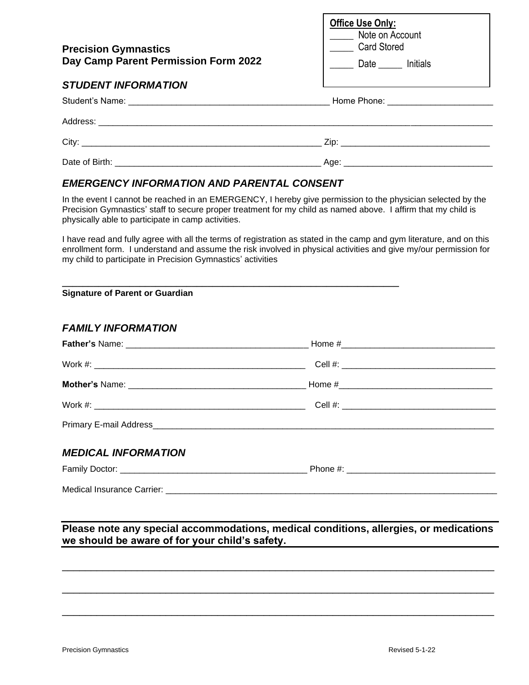| <b>Precision Gymnastics</b><br>Day Camp Parent Permission Form 2022 | Office Use Only:<br>Note on Account<br><b>Card Stored</b><br>Date ______ Initials |
|---------------------------------------------------------------------|-----------------------------------------------------------------------------------|
| <b>STUDENT INFORMATION</b>                                          |                                                                                   |
|                                                                     | Home Phone: ___________________________                                           |
|                                                                     |                                                                                   |
|                                                                     |                                                                                   |
|                                                                     |                                                                                   |

## *EMERGENCY INFORMATION AND PARENTAL CONSENT*

In the event I cannot be reached in an EMERGENCY, I hereby give permission to the physician selected by the Precision Gymnastics' staff to secure proper treatment for my child as named above. I affirm that my child is physically able to participate in camp activities.

I have read and fully agree with all the terms of registration as stated in the camp and gym literature, and on this enrollment form. I understand and assume the risk involved in physical activities and give my/our permission for my child to participate in Precision Gymnastics' activities

| <b>Signature of Parent or Guardian</b> |  |
|----------------------------------------|--|
| <b>FAMILY INFORMATION</b>              |  |
|                                        |  |
|                                        |  |
|                                        |  |
|                                        |  |
|                                        |  |
| <b>MEDICAL INFORMATION</b>             |  |
|                                        |  |
|                                        |  |

**Please note any special accommodations, medical conditions, allergies, or medications we should be aware of for your child's safety.**

\_\_\_\_\_\_\_\_\_\_\_\_\_\_\_\_\_\_\_\_\_\_\_\_\_\_\_\_\_\_\_\_\_\_\_\_\_\_\_\_\_\_\_\_\_\_\_\_\_\_\_\_\_\_\_\_\_\_\_\_\_\_\_\_\_\_\_\_\_\_\_\_\_\_\_

\_\_\_\_\_\_\_\_\_\_\_\_\_\_\_\_\_\_\_\_\_\_\_\_\_\_\_\_\_\_\_\_\_\_\_\_\_\_\_\_\_\_\_\_\_\_\_\_\_\_\_\_\_\_\_\_\_\_\_\_\_\_\_\_\_\_\_\_\_\_\_\_\_\_\_

\_\_\_\_\_\_\_\_\_\_\_\_\_\_\_\_\_\_\_\_\_\_\_\_\_\_\_\_\_\_\_\_\_\_\_\_\_\_\_\_\_\_\_\_\_\_\_\_\_\_\_\_\_\_\_\_\_\_\_\_\_\_\_\_\_\_\_\_\_\_\_\_\_\_\_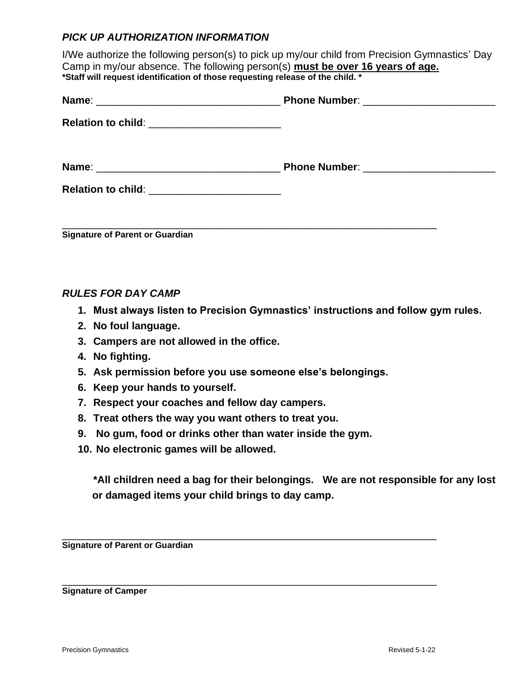## *PICK UP AUTHORIZATION INFORMATION*

I/We authorize the following person(s) to pick up my/our child from Precision Gymnastics' Day Camp in my/our absence. The following person(s) **must be over 16 years of age. \*Staff will request identification of those requesting release of the child. \***

| Relation to child: __________________________ |  |
|-----------------------------------------------|--|
|                                               |  |
| Relation to child: __________________________ |  |
|                                               |  |

**Signature of Parent or Guardian**

## *RULES FOR DAY CAMP*

- **1. Must always listen to Precision Gymnastics' instructions and follow gym rules.**
- **2. No foul language.**
- **3. Campers are not allowed in the office.**
- **4. No fighting.**
- **5. Ask permission before you use someone else's belongings.**
- **6. Keep your hands to yourself.**
- **7. Respect your coaches and fellow day campers.**
- **8. Treat others the way you want others to treat you.**
- **9. No gum, food or drinks other than water inside the gym.**

\_\_\_\_\_\_\_\_\_\_\_\_\_\_\_\_\_\_\_\_\_\_\_\_\_\_\_\_\_\_\_\_\_\_\_\_\_\_\_\_\_\_\_\_\_\_\_\_\_\_\_\_\_\_\_\_\_\_\_\_\_\_\_\_\_

\_\_\_\_\_\_\_\_\_\_\_\_\_\_\_\_\_\_\_\_\_\_\_\_\_\_\_\_\_\_\_\_\_\_\_\_\_\_\_\_\_\_\_\_\_\_\_\_\_\_\_\_\_\_\_\_\_\_\_\_\_\_\_\_\_

**10. No electronic games will be allowed.**

**\*All children need a bag for their belongings. We are not responsible for any lost or damaged items your child brings to day camp.**

**Signature of Parent or Guardian**

**Signature of Camper**